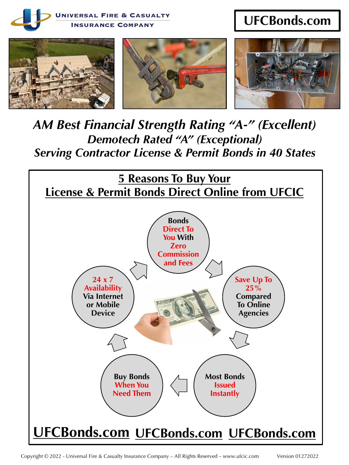



# *AM Best Financial Strength Rating "A-" (Excellent) Demotech Rated "A" (Exceptional) Serving Contractor License & Permit Bonds in 40 States*